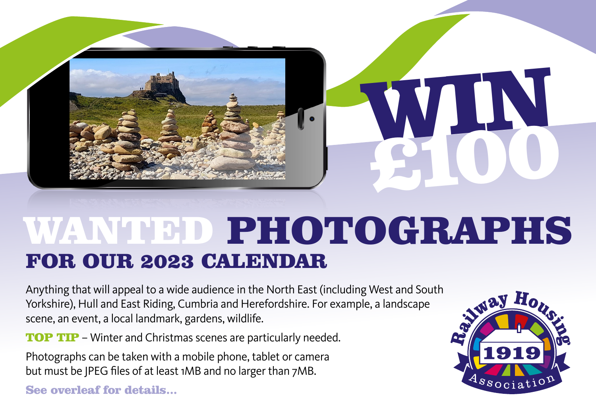

## WANTED PHOTOGRAPHS FOR OUR 2023 CALENDAR

Anything that will appeal to a wide audience in the North East (including West and South Yorkshire), Hull and East Riding, Cumbria and Herefordshire. For example, a landscape scene, an event, a local landmark, gardens, wildlife.

**TOP TIP** – Winter and Christmas scenes are particularly needed.

Photographs can be taken with a mobile phone, tablet or camera but must be JPEG files of at least 1MB and no larger than 7MB.

See overleaf for details...



WIN